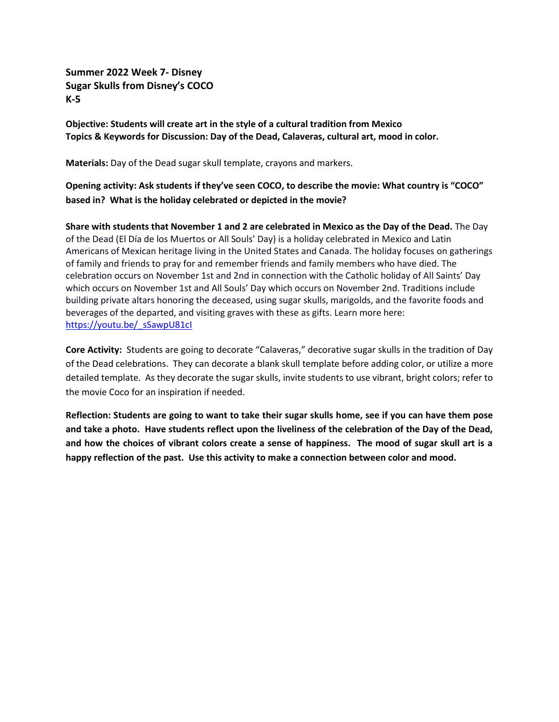**Summer 2022 Week 7- Disney Sugar Skulls from Disney's COCO K-5**

**Objective: Students will create art in the style of a cultural tradition from Mexico Topics & Keywords for Discussion: Day of the Dead, Calaveras, cultural art, mood in color.**

**Materials:** Day of the Dead sugar skull template, crayons and markers.

**Opening activity: Ask students if they've seen COCO, to describe the movie: What country is "COCO" based in? What is the holiday celebrated or depicted in the movie?**

**Share with students that November 1 and 2 are celebrated in Mexico as the Day of the Dead.** The Day of the Dead (El Día de los Muertos or All Souls' Day) is a holiday celebrated in Mexico and Latin Americans of Mexican heritage living in the United States and Canada. The holiday focuses on gatherings of family and friends to pray for and remember friends and family members who have died. The celebration occurs on November 1st and 2nd in connection with the Catholic holiday of All Saints' Day which occurs on November 1st and All Souls' Day which occurs on November 2nd. Traditions include building private altars honoring the deceased, using sugar skulls, marigolds, and the favorite foods and beverages of the departed, and visiting graves with these as gifts. Learn more here: https://youtu.be/ sSawpU81cl

**Core Activity:** Students are going to decorate "Calaveras," decorative sugar skulls in the tradition of Day of the Dead celebrations. They can decorate a blank skull template before adding color, or utilize a more detailed template. As they decorate the sugar skulls, invite students to use vibrant, bright colors; refer to the movie Coco for an inspiration if needed.

**Reflection: Students are going to want to take their sugar skulls home, see if you can have them pose and take a photo. Have students reflect upon the liveliness of the celebration of the Day of the Dead, and how the choices of vibrant colors create a sense of happiness. The mood of sugar skull art is a happy reflection of the past. Use this activity to make a connection between color and mood.**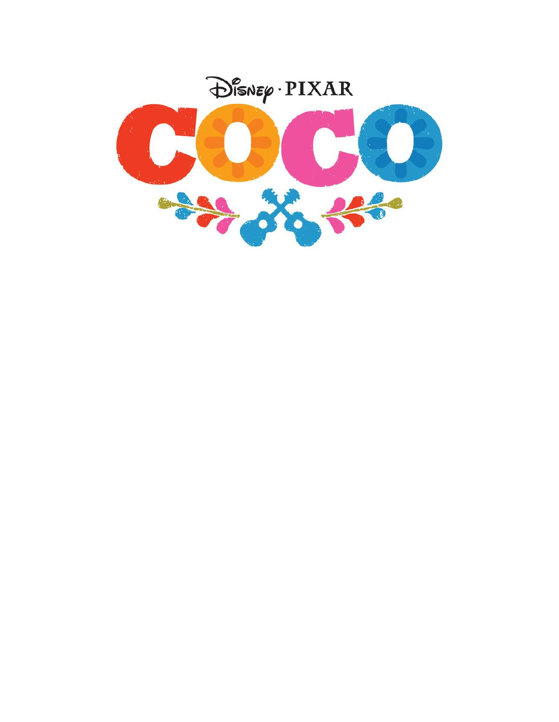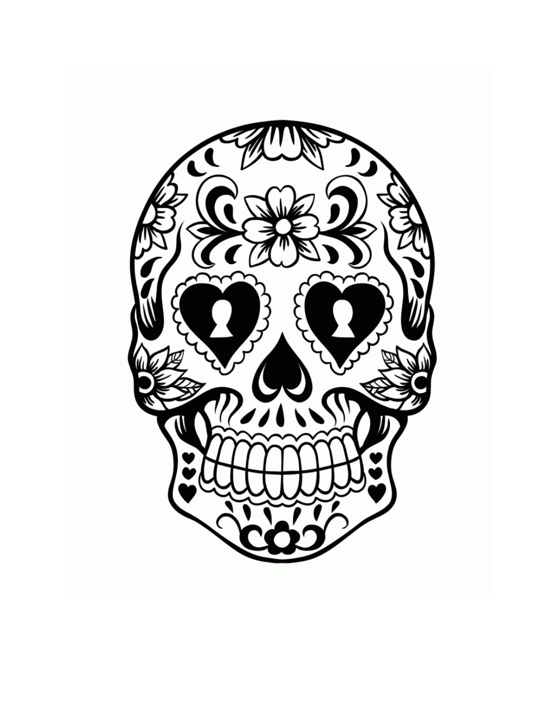